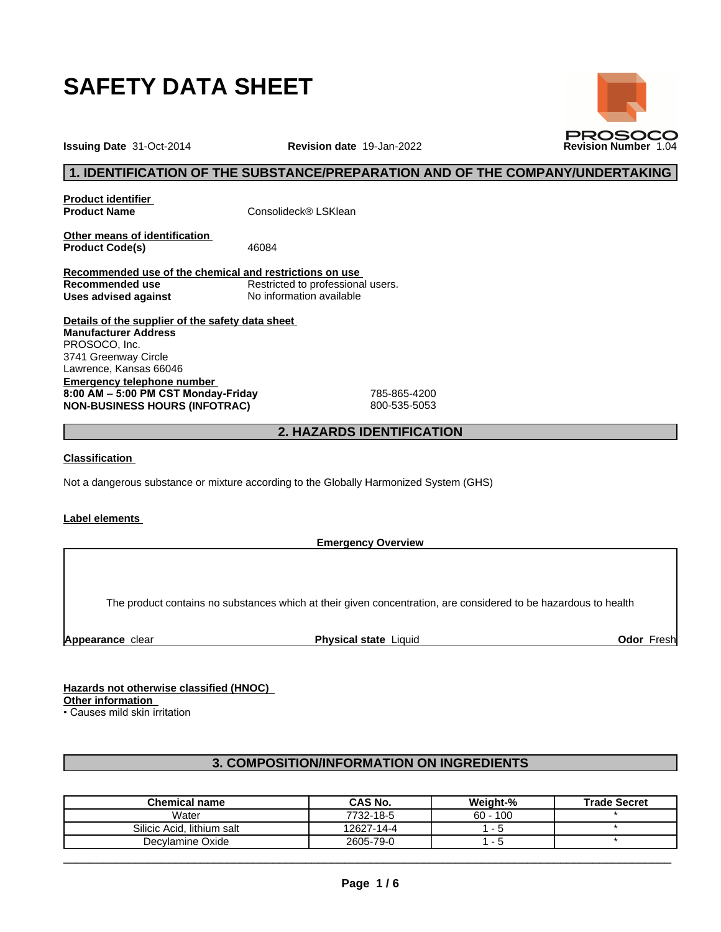

**Issuing Date** 31-Oct-2014 **Revision date** 19-Jan-2022 **Revision Number** 1.04

# **1. IDENTIFICATION OF THE SUBSTANCE/PREPARATION AND OF THE COMPANY/UNDERTAKING**

**Product identifier**

**Product Name** Consolideck<sup>®</sup> LSKlean

**Other means of identification**<br>**Product Code(s)** 46084 **Product Code(s)** 

**Recommended use of the chemical and restrictions on use Restricted to professional users. Uses advised against** No information available

**Details of the supplier of the safety data sheet Emergency telephone number 8:00AM–5:00PMCSTMonday-Friday** 785-865-4200 **NON-BUSINESS HOURS (INFOTRAC)** 800-535-5053 **Manufacturer Address** PROSOCO, Inc. 3741 Greenway Circle Lawrence, Kansas 66046

# **2. HAZARDS IDENTIFICATION**

## **Classification**

Not a dangerous substance or mixture according to the Globally Harmonized System (GHS)

#### **Label elements**

**Emergency Overview**

The product contains no substances which at their given concentration, are considered to be hazardous to health

**Appearance** clear **Physical state** Liquid **Odor** Fresh

**Hazards not otherwise classified (HNOC) Other information**

• Causes mild skin irritation

# **3. COMPOSITION/INFORMATION ON INGREDIENTS**

| <b>Chemical name</b>       | CAS No.    | Weight-%   | <b>Trade Secret</b> |
|----------------------------|------------|------------|---------------------|
| Water                      | 7732-18-5  | $60 - 100$ |                     |
| Silicic Acid. lithium salt | 12627-14-4 |            |                     |
| Decylamine Oxide           | 2605-79-0  |            |                     |

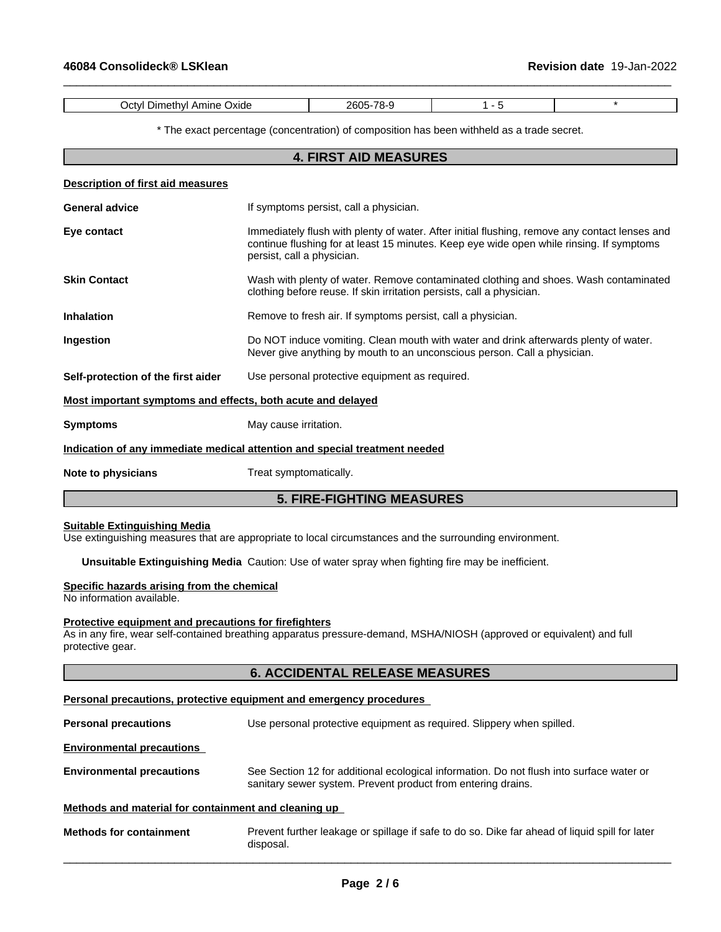| Oxide<br>)etvi<br>nıne<br>ענ<br>______ | ״י<br>`\I |  |
|----------------------------------------|-----------|--|

 $\_$  ,  $\_$  ,  $\_$  ,  $\_$  ,  $\_$  ,  $\_$  ,  $\_$  ,  $\_$  ,  $\_$  ,  $\_$  ,  $\_$  ,  $\_$  ,  $\_$  ,  $\_$  ,  $\_$  ,  $\_$  ,  $\_$  ,  $\_$  ,  $\_$  ,  $\_$  ,  $\_$  ,  $\_$  ,  $\_$  ,  $\_$  ,  $\_$  ,  $\_$  ,  $\_$  ,  $\_$  ,  $\_$  ,  $\_$  ,  $\_$  ,  $\_$  ,  $\_$  ,  $\_$  ,  $\_$  ,  $\_$  ,  $\_$  ,

\* The exact percentage (concentration) ofcomposition has been withheld as a trade secret.

|                                                             | <b>4. FIRST AID MEASURES</b>                                                                                                                                                                                            |
|-------------------------------------------------------------|-------------------------------------------------------------------------------------------------------------------------------------------------------------------------------------------------------------------------|
| Description of first aid measures                           |                                                                                                                                                                                                                         |
| <b>General advice</b>                                       | If symptoms persist, call a physician.                                                                                                                                                                                  |
| Eye contact                                                 | Immediately flush with plenty of water. After initial flushing, remove any contact lenses and<br>continue flushing for at least 15 minutes. Keep eye wide open while rinsing. If symptoms<br>persist, call a physician. |
| <b>Skin Contact</b>                                         | Wash with plenty of water. Remove contaminated clothing and shoes. Wash contaminated<br>clothing before reuse. If skin irritation persists, call a physician.                                                           |
| <b>Inhalation</b>                                           | Remove to fresh air. If symptoms persist, call a physician.                                                                                                                                                             |
| Ingestion                                                   | Do NOT induce vomiting. Clean mouth with water and drink afterwards plenty of water.<br>Never give anything by mouth to an unconscious person. Call a physician.                                                        |
| Self-protection of the first aider                          | Use personal protective equipment as required.                                                                                                                                                                          |
| Most important symptoms and effects, both acute and delayed |                                                                                                                                                                                                                         |
| <b>Symptoms</b>                                             | May cause irritation.                                                                                                                                                                                                   |
|                                                             | Indication of any immediate medical attention and special treatment needed                                                                                                                                              |
| Note to physicians                                          | Treat symptomatically.                                                                                                                                                                                                  |
|                                                             | <b>5. FIRE-FIGHTING MEASURES</b>                                                                                                                                                                                        |

#### **Suitable Extinguishing Media**

Use extinguishing measures that are appropriate to local circumstances and the surrounding environment.

**Unsuitable Extinguishing Media** Caution: Use of water spray when fighting fire may be inefficient.

#### **Specific hazards arising from the chemical**

No information available.

## **Protective equipment and precautions for firefighters**

As in any fire, wear self-contained breathing apparatus pressure-demand, MSHA/NIOSH (approved or equivalent) and full protective gear.

# **6. ACCIDENTAL RELEASE MEASURES**

#### **Personal precautions, protective equipment and emergency procedures**

| <b>Personal precautions</b>                          | Use personal protective equipment as required. Slippery when spilled.                                                                                    |
|------------------------------------------------------|----------------------------------------------------------------------------------------------------------------------------------------------------------|
| <b>Environmental precautions</b>                     |                                                                                                                                                          |
| <b>Environmental precautions</b>                     | See Section 12 for additional ecological information. Do not flush into surface water or<br>sanitary sewer system. Prevent product from entering drains. |
| Methods and material for containment and cleaning up |                                                                                                                                                          |
| <b>Methods for containment</b>                       | Prevent further leakage or spillage if safe to do so. Dike far ahead of liquid spill for later<br>disposal.                                              |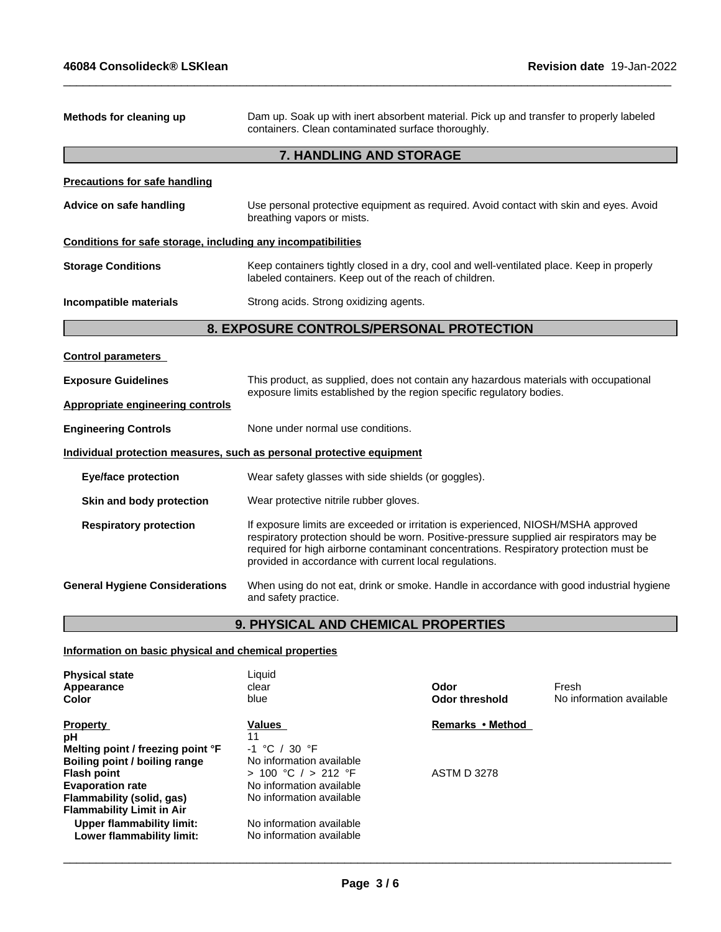| Methods for cleaning up                                      | Dam up. Soak up with inert absorbent material. Pick up and transfer to properly labeled<br>containers. Clean contaminated surface thoroughly.                                                                                                                                                                                    |  |
|--------------------------------------------------------------|----------------------------------------------------------------------------------------------------------------------------------------------------------------------------------------------------------------------------------------------------------------------------------------------------------------------------------|--|
|                                                              | 7. HANDLING AND STORAGE                                                                                                                                                                                                                                                                                                          |  |
| <b>Precautions for safe handling</b>                         |                                                                                                                                                                                                                                                                                                                                  |  |
| Advice on safe handling                                      | Use personal protective equipment as required. Avoid contact with skin and eyes. Avoid<br>breathing vapors or mists.                                                                                                                                                                                                             |  |
| Conditions for safe storage, including any incompatibilities |                                                                                                                                                                                                                                                                                                                                  |  |
| <b>Storage Conditions</b>                                    | Keep containers tightly closed in a dry, cool and well-ventilated place. Keep in properly<br>labeled containers. Keep out of the reach of children.                                                                                                                                                                              |  |
| Incompatible materials                                       | Strong acids. Strong oxidizing agents.                                                                                                                                                                                                                                                                                           |  |
|                                                              | 8. EXPOSURE CONTROLS/PERSONAL PROTECTION                                                                                                                                                                                                                                                                                         |  |
| <b>Control parameters</b>                                    |                                                                                                                                                                                                                                                                                                                                  |  |
| <b>Exposure Guidelines</b>                                   | This product, as supplied, does not contain any hazardous materials with occupational<br>exposure limits established by the region specific regulatory bodies.                                                                                                                                                                   |  |
| <b>Appropriate engineering controls</b>                      |                                                                                                                                                                                                                                                                                                                                  |  |
| <b>Engineering Controls</b>                                  | None under normal use conditions.                                                                                                                                                                                                                                                                                                |  |
|                                                              | Individual protection measures, such as personal protective equipment                                                                                                                                                                                                                                                            |  |
| <b>Eye/face protection</b>                                   | Wear safety glasses with side shields (or goggles).                                                                                                                                                                                                                                                                              |  |
| Skin and body protection                                     | Wear protective nitrile rubber gloves.                                                                                                                                                                                                                                                                                           |  |
| <b>Respiratory protection</b>                                | If exposure limits are exceeded or irritation is experienced, NIOSH/MSHA approved<br>respiratory protection should be worn. Positive-pressure supplied air respirators may be<br>required for high airborne contaminant concentrations. Respiratory protection must be<br>provided in accordance with current local regulations. |  |
| <b>General Hygiene Considerations</b>                        | When using do not eat, drink or smoke. Handle in accordance with good industrial hygiene<br>and safety practice.                                                                                                                                                                                                                 |  |
|                                                              | <b>9. PHYSICAL AND CHEMICAL PROPERTIES</b>                                                                                                                                                                                                                                                                                       |  |

 $\_$  ,  $\_$  ,  $\_$  ,  $\_$  ,  $\_$  ,  $\_$  ,  $\_$  ,  $\_$  ,  $\_$  ,  $\_$  ,  $\_$  ,  $\_$  ,  $\_$  ,  $\_$  ,  $\_$  ,  $\_$  ,  $\_$  ,  $\_$  ,  $\_$  ,  $\_$  ,  $\_$  ,  $\_$  ,  $\_$  ,  $\_$  ,  $\_$  ,  $\_$  ,  $\_$  ,  $\_$  ,  $\_$  ,  $\_$  ,  $\_$  ,  $\_$  ,  $\_$  ,  $\_$  ,  $\_$  ,  $\_$  ,  $\_$  ,

# **9. PHYSICAL AND CHEMICAL PROPERTIES**

# **Information on basic physical and chemical properties**

| <b>Physical state</b><br>Appearance<br>Color | Liquid<br>clear<br>blue  | Odor<br><b>Odor threshold</b> | Fresh<br>No information available |
|----------------------------------------------|--------------------------|-------------------------------|-----------------------------------|
| <b>Property</b>                              | Values                   | Remarks • Method              |                                   |
| рH                                           | 11                       |                               |                                   |
| Melting point / freezing point °F            | ່ 30 °F<br>$-1$ °C /     |                               |                                   |
| Boiling point / boiling range                | No information available |                               |                                   |
| <b>Flash point</b>                           | > 100 °C / > 212 °F      | <b>ASTM D 3278</b>            |                                   |
| <b>Evaporation rate</b>                      | No information available |                               |                                   |
| Flammability (solid, gas)                    | No information available |                               |                                   |
| <b>Flammability Limit in Air</b>             |                          |                               |                                   |
| <b>Upper flammability limit:</b>             | No information available |                               |                                   |
| Lower flammability limit:                    | No information available |                               |                                   |
|                                              |                          |                               |                                   |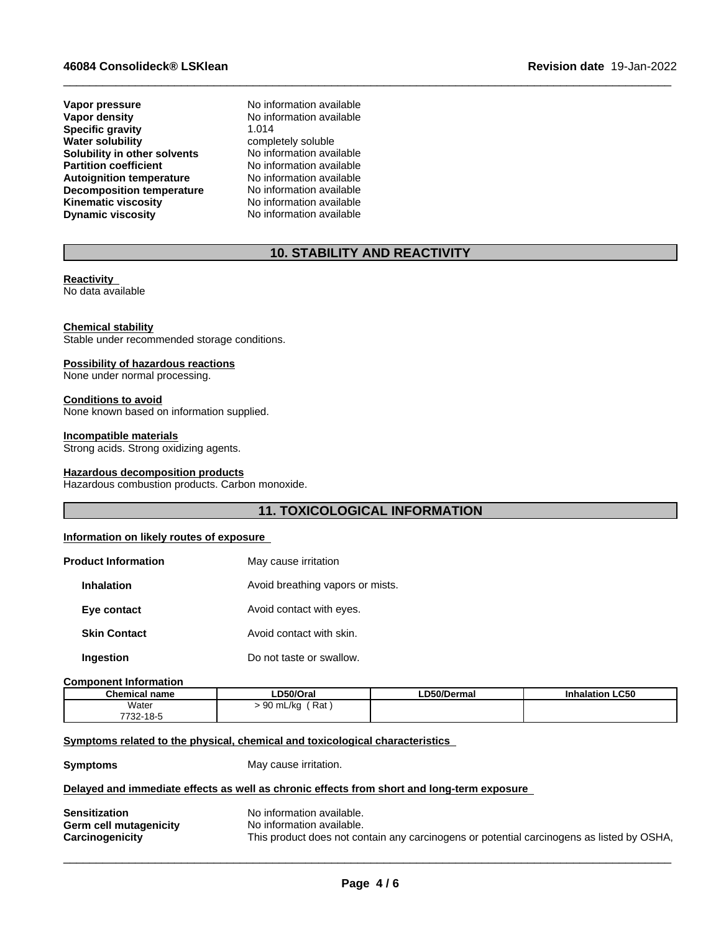## **46084 Consolideck® LSKlean Revision date** 19-Jan-2022

**Vapor pressure No information available**<br> **Vapor density No information available Specific gravity**<br>Water solubility **Solubility in other solvents** No information available<br> **Partition coefficient** No information available **Partition coefficient**<br> **Autoignition temperature**<br>
No information available **Autoignition temperature No information available**<br> **Decomposition temperature No information available Decomposition temperature**<br>**Kinematic viscosity Dynamic viscosity** No information available

**No information available**<br>1.014 completely soluble<br>No information available **Kinematic viscosity** No information available

# **10. STABILITY AND REACTIVITY**

 $\_$  ,  $\_$  ,  $\_$  ,  $\_$  ,  $\_$  ,  $\_$  ,  $\_$  ,  $\_$  ,  $\_$  ,  $\_$  ,  $\_$  ,  $\_$  ,  $\_$  ,  $\_$  ,  $\_$  ,  $\_$  ,  $\_$  ,  $\_$  ,  $\_$  ,  $\_$  ,  $\_$  ,  $\_$  ,  $\_$  ,  $\_$  ,  $\_$  ,  $\_$  ,  $\_$  ,  $\_$  ,  $\_$  ,  $\_$  ,  $\_$  ,  $\_$  ,  $\_$  ,  $\_$  ,  $\_$  ,  $\_$  ,  $\_$  ,

## **Reactivity**

No data available

#### **Chemical stability**

Stable under recommended storage conditions.

#### **Possibility of hazardous reactions**

None under normal processing.

**Conditions to avoid** None known based on information supplied.

#### **Incompatible materials**

Strong acids. Strong oxidizing agents.

#### **Hazardous decomposition products**

Hazardous combustion products. Carbon monoxide.

# **11. TOXICOLOGICAL INFORMATION**

## **Information on likely routes of exposure**

| <b>Product Information</b> | May cause irritation             |
|----------------------------|----------------------------------|
| <b>Inhalation</b>          | Avoid breathing vapors or mists. |
| Eye contact                | Avoid contact with eyes.         |
| <b>Skin Contact</b>        | Avoid contact with skin.         |
| Ingestion                  | Do not taste or swallow.         |

#### **Component Information**

| <b>Chemical name</b>     | LD50/Oral                             | .D50/Dermal | <b>Inhalation LC50</b> |
|--------------------------|---------------------------------------|-------------|------------------------|
| Water<br>$\cdots$        | Rat<br>$\sim$<br>) mL/kg<br>◡◡<br>. . |             |                        |
| 7700<br>.40F<br>732-18-5 |                                       |             |                        |

#### **<u>Symptoms related to the physical, chemical and toxicological characteristics</u>**

**Symptoms** May cause irritation.

#### **Delayed and immediate effects as well as chronic effects from short and long-term exposure**

| <b>Sensitization</b>   | No information available.                                                                 |
|------------------------|-------------------------------------------------------------------------------------------|
| Germ cell mutagenicity | No information available.                                                                 |
| <b>Carcinogenicity</b> | This product does not contain any carcinogens or potential carcinogens as listed by OSHA, |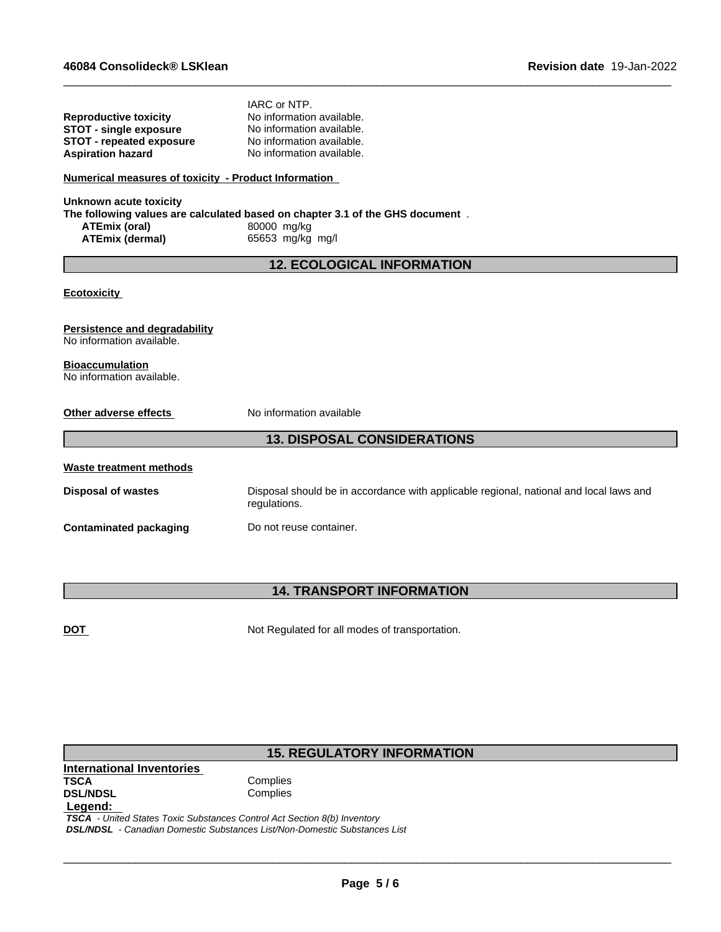|                                                      | IARC or NTP.                                                                                           |
|------------------------------------------------------|--------------------------------------------------------------------------------------------------------|
| <b>Reproductive toxicity</b>                         | No information available.                                                                              |
| <b>STOT - single exposure</b>                        | No information available.                                                                              |
| <b>STOT - repeated exposure</b>                      | No information available.                                                                              |
| <b>Aspiration hazard</b>                             | No information available.                                                                              |
| Numerical measures of toxicity - Product Information |                                                                                                        |
| <b>Unknown acute toxicity</b>                        |                                                                                                        |
|                                                      | The following values are calculated based on chapter 3.1 of the GHS document.                          |
| <b>ATEmix (oral)</b>                                 | 80000 mg/kg                                                                                            |
| <b>ATEmix (dermal)</b>                               | 65653 mg/kg mg/l                                                                                       |
|                                                      | <b>12. ECOLOGICAL INFORMATION</b>                                                                      |
|                                                      |                                                                                                        |
| <b>Ecotoxicity</b>                                   |                                                                                                        |
|                                                      |                                                                                                        |
| Persistence and degradability                        |                                                                                                        |
| No information available.                            |                                                                                                        |
|                                                      |                                                                                                        |
| <b>Bioaccumulation</b>                               |                                                                                                        |
| No information available.                            |                                                                                                        |
|                                                      |                                                                                                        |
| Other adverse effects                                | No information available                                                                               |
|                                                      |                                                                                                        |
|                                                      | <b>13. DISPOSAL CONSIDERATIONS</b>                                                                     |
| <b>Waste treatment methods</b>                       |                                                                                                        |
|                                                      |                                                                                                        |
| <b>Disposal of wastes</b>                            | Disposal should be in accordance with applicable regional, national and local laws and<br>regulations. |
| <b>Contaminated packaging</b>                        | Do not reuse container.                                                                                |
|                                                      |                                                                                                        |

 $\_$  ,  $\_$  ,  $\_$  ,  $\_$  ,  $\_$  ,  $\_$  ,  $\_$  ,  $\_$  ,  $\_$  ,  $\_$  ,  $\_$  ,  $\_$  ,  $\_$  ,  $\_$  ,  $\_$  ,  $\_$  ,  $\_$  ,  $\_$  ,  $\_$  ,  $\_$  ,  $\_$  ,  $\_$  ,  $\_$  ,  $\_$  ,  $\_$  ,  $\_$  ,  $\_$  ,  $\_$  ,  $\_$  ,  $\_$  ,  $\_$  ,  $\_$  ,  $\_$  ,  $\_$  ,  $\_$  ,  $\_$  ,  $\_$  ,

# **14. TRANSPORT INFORMATION**

**DOT** Not Regulated for all modes of transportation.

# **15. REGULATORY INFORMATION**

**International Inventories DSL/NDSL Legend:** 

Complies<br>Complies

 *TSCA - United States Toxic Substances Control Act Section 8(b) Inventory DSL/NDSL - Canadian Domestic Substances List/Non-Domestic Substances List*